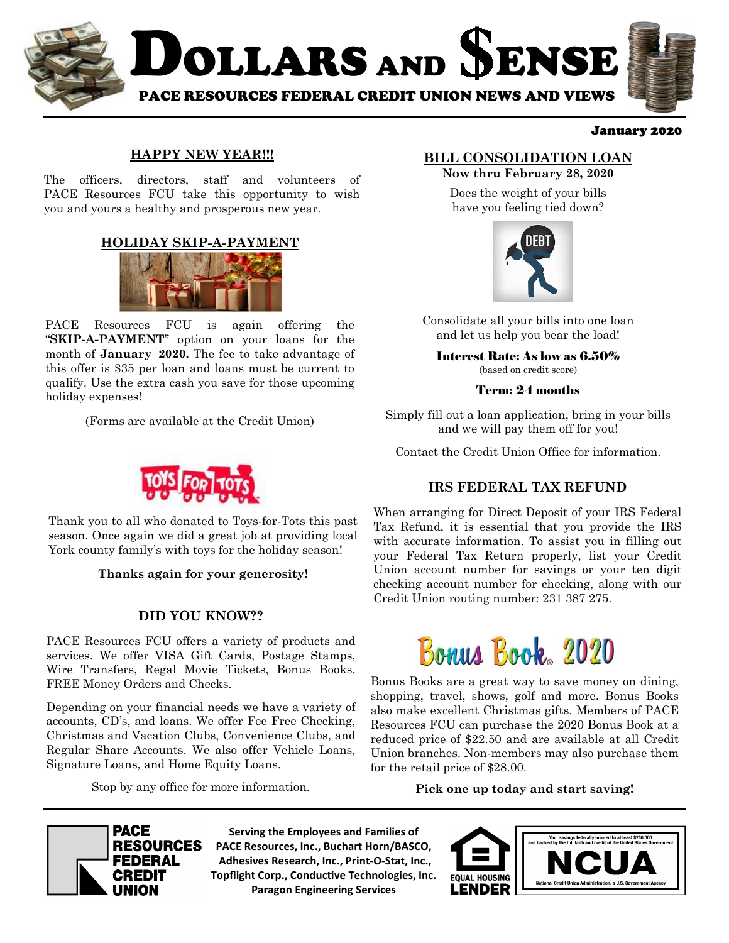

#### January 2020

### **HAPPY NEW YEAR!!!**

The officers, directors, staff and volunteers of PACE Resources FCU take this opportunity to wish you and yours a healthy and prosperous new year.

### **HOLIDAY SKIP-A-PAYMENT**



PACE Resources FCU is again offering the "**SKIP-A-PAYMENT**" option on your loans for the month of **January 2020.** The fee to take advantage of this offer is \$35 per loan and loans must be current to qualify. Use the extra cash you save for those upcoming holiday expenses!

(Forms are available at the Credit Union)



Thank you to all who donated to Toys-for-Tots this past season. Once again we did a great job at providing local York county family's with toys for the holiday season!

#### **Thanks again for your generosity!**

### **DID YOU KNOW??**

PACE Resources FCU offers a variety of products and services. We offer VISA Gift Cards, Postage Stamps, Wire Transfers, Regal Movie Tickets, Bonus Books, FREE Money Orders and Checks.

Depending on your financial needs we have a variety of accounts, CD's, and loans. We offer Fee Free Checking, Christmas and Vacation Clubs, Convenience Clubs, and Regular Share Accounts. We also offer Vehicle Loans, Signature Loans, and Home Equity Loans.

Stop by any office for more information.

## **BILL CONSOLIDATION LOAN**

**Now thru February 28, 2020**  Does the weight of your bills have you feeling tied down?



Consolidate all your bills into one loan and let us help you bear the load!

Interest Rate: As low as 6.50% (based on credit score)

#### Term: 24 months

Simply fill out a loan application, bring in your bills and we will pay them off for you!

Contact the Credit Union Office for information.

### **IRS FEDERAL TAX REFUND**

When arranging for Direct Deposit of your IRS Federal Tax Refund, it is essential that you provide the IRS with accurate information. To assist you in filling out your Federal Tax Return properly, list your Credit Union account number for savings or your ten digit checking account number for checking, along with our Credit Union routing number: 231 387 275.



Bonus Books are a great way to save money on dining, shopping, travel, shows, golf and more. Bonus Books also make excellent Christmas gifts. Members of PACE Resources FCU can purchase the 2020 Bonus Book at a reduced price of \$22.50 and are available at all Credit Union branches. Non-members may also purchase them for the retail price of \$28.00.

**Pick one up today and start saving!** 



**Serving the Employees and Families of PACE Resources, Inc., Buchart Horn/BASCO, Adhesives Research, Inc., Print-O-Stat, Inc., Topflight Corp., Conductive Technologies, Inc. Paragon Engineering Services**